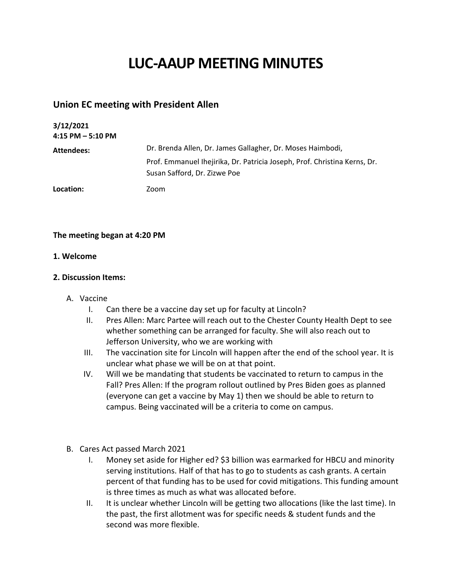# **LUC-AAUP MEETING MINUTES**

# **Union EC meeting with President Allen**

| 3/12/2021<br>$4:15$ PM $-5:10$ PM |                                                                                                                                                                         |
|-----------------------------------|-------------------------------------------------------------------------------------------------------------------------------------------------------------------------|
| Attendees:                        | Dr. Brenda Allen, Dr. James Gallagher, Dr. Moses Haimbodi,<br>Prof. Emmanuel Ihejirika, Dr. Patricia Joseph, Prof. Christina Kerns, Dr.<br>Susan Safford, Dr. Zizwe Poe |
| Location:                         | Zoom                                                                                                                                                                    |

## **The meeting began at 4:20 PM**

### **1. Welcome**

### **2. Discussion Items:**

- A. Vaccine
	- I. Can there be a vaccine day set up for faculty at Lincoln?
	- II. Pres Allen: Marc Partee will reach out to the Chester County Health Dept to see whether something can be arranged for faculty. She will also reach out to Jefferson University, who we are working with
	- III. The vaccination site for Lincoln will happen after the end of the school year. It is unclear what phase we will be on at that point.
	- IV. Will we be mandating that students be vaccinated to return to campus in the Fall? Pres Allen: If the program rollout outlined by Pres Biden goes as planned (everyone can get a vaccine by May 1) then we should be able to return to campus. Being vaccinated will be a criteria to come on campus.
- B. Cares Act passed March 2021
	- I. Money set aside for Higher ed? \$3 billion was earmarked for HBCU and minority serving institutions. Half of that has to go to students as cash grants. A certain percent of that funding has to be used for covid mitigations. This funding amount is three times as much as what was allocated before.
	- II. It is unclear whether Lincoln will be getting two allocations (like the last time). In the past, the first allotment was for specific needs & student funds and the second was more flexible.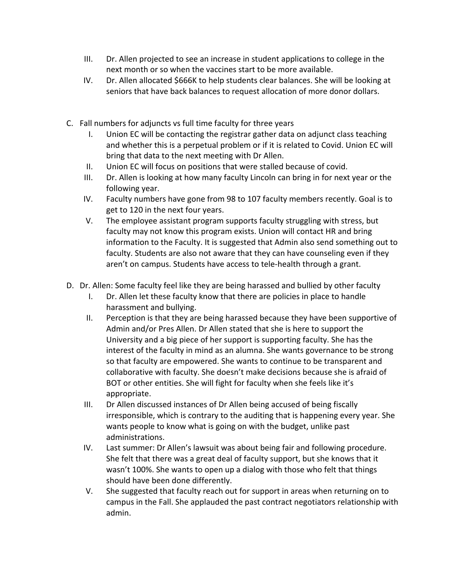- III. Dr. Allen projected to see an increase in student applications to college in the next month or so when the vaccines start to be more available.
- IV. Dr. Allen allocated \$666K to help students clear balances. She will be looking at seniors that have back balances to request allocation of more donor dollars.
- C. Fall numbers for adjuncts vs full time faculty for three years
	- I. Union EC will be contacting the registrar gather data on adjunct class teaching and whether this is a perpetual problem or if it is related to Covid. Union EC will bring that data to the next meeting with Dr Allen.
	- II. Union EC will focus on positions that were stalled because of covid.
	- III. Dr. Allen is looking at how many faculty Lincoln can bring in for next year or the following year.
	- IV. Faculty numbers have gone from 98 to 107 faculty members recently. Goal is to get to 120 in the next four years.
	- V. The employee assistant program supports faculty struggling with stress, but faculty may not know this program exists. Union will contact HR and bring information to the Faculty. It is suggested that Admin also send something out to faculty. Students are also not aware that they can have counseling even if they aren't on campus. Students have access to tele-health through a grant.
- D. Dr. Allen: Some faculty feel like they are being harassed and bullied by other faculty
	- I. Dr. Allen let these faculty know that there are policies in place to handle harassment and bullying.
	- II. Perception is that they are being harassed because they have been supportive of Admin and/or Pres Allen. Dr Allen stated that she is here to support the University and a big piece of her support is supporting faculty. She has the interest of the faculty in mind as an alumna. She wants governance to be strong so that faculty are empowered. She wants to continue to be transparent and collaborative with faculty. She doesn't make decisions because she is afraid of BOT or other entities. She will fight for faculty when she feels like it's appropriate.
	- III. Dr Allen discussed instances of Dr Allen being accused of being fiscally irresponsible, which is contrary to the auditing that is happening every year. She wants people to know what is going on with the budget, unlike past administrations.
	- IV. Last summer: Dr Allen's lawsuit was about being fair and following procedure. She felt that there was a great deal of faculty support, but she knows that it wasn't 100%. She wants to open up a dialog with those who felt that things should have been done differently.
	- V. She suggested that faculty reach out for support in areas when returning on to campus in the Fall. She applauded the past contract negotiators relationship with admin.